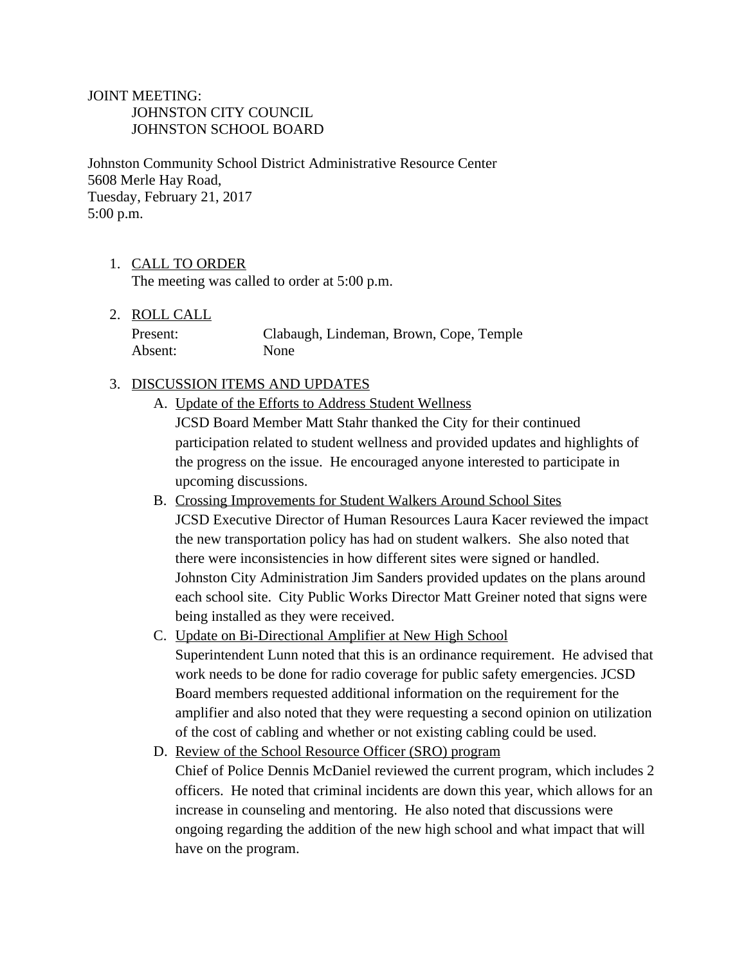## JOINT MEETING: JOHNSTON CITY COUNCIL JOHNSTON SCHOOL BOARD

Johnston Community School District Administrative Resource Center 5608 Merle Hay Road, Tuesday, February 21, 2017 5:00 p.m.

1. CALL TO ORDER

The meeting was called to order at 5:00 p.m.

2. ROLL CALL

| Present: | Clabaugh, Lindeman, Brown, Cope, Temple |  |  |
|----------|-----------------------------------------|--|--|
| Absent:  | None                                    |  |  |

## 3. DISCUSSION ITEMS AND UPDATES

- A. Update of the Efforts to Address Student Wellness JCSD Board Member Matt Stahr thanked the City for their continued participation related to student wellness and provided updates and highlights of the progress on the issue. He encouraged anyone interested to participate in upcoming discussions.
- B. Crossing Improvements for Student Walkers Around School Sites JCSD Executive Director of Human Resources Laura Kacer reviewed the impact the new transportation policy has had on student walkers. She also noted that there were inconsistencies in how different sites were signed or handled. Johnston City Administration Jim Sanders provided updates on the plans around each school site. City Public Works Director Matt Greiner noted that signs were being installed as they were received.
- C. Update on Bi-Directional Amplifier at New High School Superintendent Lunn noted that this is an ordinance requirement. He advised that work needs to be done for radio coverage for public safety emergencies. JCSD Board members requested additional information on the requirement for the amplifier and also noted that they were requesting a second opinion on utilization of the cost of cabling and whether or not existing cabling could be used.
- D. Review of the School Resource Officer (SRO) program Chief of Police Dennis McDaniel reviewed the current program, which includes 2 officers. He noted that criminal incidents are down this year, which allows for an increase in counseling and mentoring. He also noted that discussions were ongoing regarding the addition of the new high school and what impact that will have on the program.